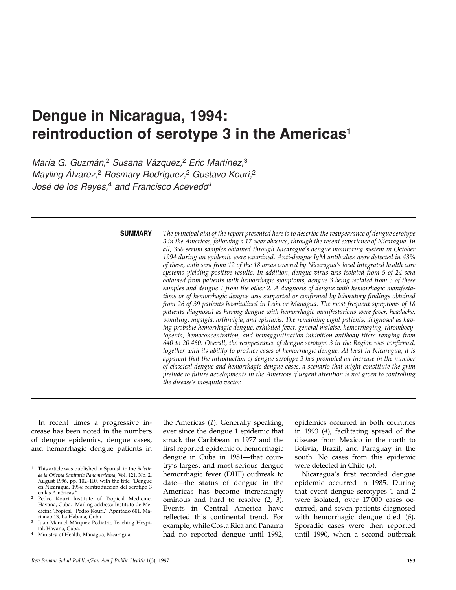# **Dengue in Nicaragua, 1994: reintroduction of serotype 3 in the Americas1**

*María G. Guzmán,*<sup>2</sup> *Susana Vázquez,*<sup>2</sup> *Eric Martínez,*<sup>3</sup> *Mayling Álvarez,*<sup>2</sup> *Rosmary Rodríguez,*<sup>2</sup> *Gustavo Kourí,*<sup>2</sup> *José de los Reyes,*<sup>4</sup> *and Francisco Acevedo4*

#### **SUMMARY**

*The principal aim of the report presented here is to describe the reappearance of dengue serotype 3 in the Americas, following a 17-year absence, through the recent experience of Nicaragua. In all, 356 serum samples obtained through Nicaragua's dengue monitoring system in October 1994 during an epidemic were examined. Anti-dengue IgM antibodies were detected in 43% of these, with sera from 12 of the 18 areas covered by Nicaragua's local integrated health care systems yielding positive results. In addition, dengue virus was isolated from 5 of 24 sera obtained from patients with hemorrhagic symptoms, dengue 3 being isolated from 3 of these samples and dengue 1 from the other 2. A diagnosis of dengue with hemorrhagic manifestations or of hemorrhagic dengue was supported or confirmed by laboratory findings obtained from 26 of 39 patients hospitalized in León or Managua. The most frequent symptoms of 18 patients diagnosed as having dengue with hemorrhagic manifestations were fever, headache, vomiting, myalgia, arthralgia, and epistaxis. The remaining eight patients, diagnosed as having probable hemorrhagic dengue, exhibited fever, general malaise, hemorrhaging, thrombocytopenia, hemoconcentration, and hemagglutination-inhibition antibody titers ranging from 640 to 20 480. Overall, the reappearance of dengue serotype 3 in the Region was confirmed, together with its ability to produce cases of hemorrhagic dengue. At least in Nicaragua, it is apparent that the introduction of dengue serotype 3 has prompted an increase in the number of classical dengue and hemorrhagic dengue cases, a scenario that might constitute the grim prelude to future developments in the Americas if urgent attention is not given to controlling the disease's mosquito vector.* 

In recent times a progressive increase has been noted in the numbers of dengue epidemics, dengue cases, and hemorrhagic dengue patients in

the Americas (*1*). Generally speaking, ever since the dengue 1 epidemic that struck the Caribbean in 1977 and the first reported epidemic of hemorrhagic dengue in Cuba in 1981—that country's largest and most serious dengue hemorrhagic fever (DHF) outbreak to date—the status of dengue in the Americas has become increasingly ominous and hard to resolve (*2, 3*). Events in Central America have reflected this continental trend. For example, while Costa Rica and Panama had no reported dengue until 1992,

epidemics occurred in both countries in 1993 (*4*), facilitating spread of the disease from Mexico in the north to Bolivia, Brazil, and Paraguay in the south. No cases from this epidemic were detected in Chile (*5*).

Nicaragua's first recorded dengue epidemic occurred in 1985. During that event dengue serotypes 1 and 2 were isolated, over 17 000 cases occurred, and seven patients diagnosed with hemorrhagic dengue died (*6*). Sporadic cases were then reported until 1990, when a second outbreak

<sup>1</sup> This article was published in Spanish in the *Boletín de la Oficina Sanitaria Panamericana,* Vol. 121, No. 2, August 1996, pp. 102–110, with the title "Dengue en Nicaragua, 1994: reintroducción del serotipo 3 en las Américas."

<sup>2</sup> Pedro Kourí Institute of Tropical Medicine, Havana, Cuba. Mailing address: Instituto de Medicina Tropical "Pedro Kourí," Apartado 601, Marianao 13, La Habana, Cuba.

Juan Manuel Márquez Pediatric Teaching Hospital, Havana, Cuba.

<sup>4</sup> Ministry of Health, Managua, Nicaragua.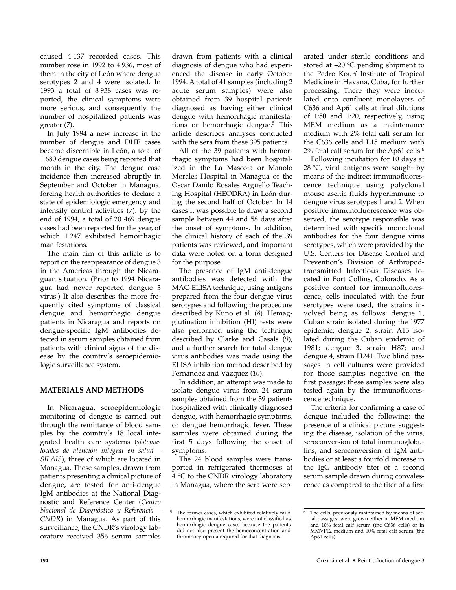caused 4 137 recorded cases. This number rose in 1992 to 4 936, most of them in the city of León where dengue serotypes 2 and 4 were isolated. In 1993 a total of 8 938 cases was reported, the clinical symptoms were more serious, and consequently the number of hospitalized patients was greater (*7*).

In July 1994 a new increase in the number of dengue and DHF cases became discernible in León, a total of 1 680 dengue cases being reported that month in the city. The dengue case incidence then increased abruptly in September and October in Managua, forcing health authorities to declare a state of epidemiologic emergency and intensify control activities (*7*). By the end of 1994, a total of 20 469 dengue cases had been reported for the year, of which 1 247 exhibited hemorrhagic manifestations.

The main aim of this article is to report on the reappearance of dengue 3 in the Americas through the Nicaraguan situation. (Prior to 1994 Nicaragua had never reported dengue 3 virus.) It also describes the more frequently cited symptoms of classical dengue and hemorrhagic dengue patients in Nicaragua and reports on dengue-specific IgM antibodies detected in serum samples obtained from patients with clinical signs of the disease by the country's seroepidemiologic surveillance system.

### **MATERIALS AND METHODS**

In Nicaragua, seroepidemiologic monitoring of dengue is carried out through the remittance of blood samples by the country's 18 local integrated health care systems (*sistemas locales de atención integral en salud— SILAIS*), three of which are located in Managua. These samples, drawn from patients presenting a clinical picture of dengue, are tested for anti-dengue IgM antibodies at the National Diagnostic and Reference Center (*Centro Nacional de Diagnóstico y Referencia— CNDR*) in Managua. As part of this surveillance, the CNDR's virology laboratory received 356 serum samples

drawn from patients with a clinical diagnosis of dengue who had experienced the disease in early October 1994. A total of 41 samples (including 2 acute serum samples) were also obtained from 39 hospital patients diagnosed as having either clinical dengue with hemorrhagic manifestations or hemorrhagic dengue.<sup>5</sup> This article describes analyses conducted with the sera from these 395 patients.

All of the 39 patients with hemorrhagic symptoms had been hospitalized in the La Mascota or Manolo Morales Hospital in Managua or the Oscar Danilo Rosales Argüello Teaching Hospital (HEODRA) in León during the second half of October. In 14 cases it was possible to draw a second sample between 44 and 58 days after the onset of symptoms. In addition, the clinical history of each of the 39 patients was reviewed, and important data were noted on a form designed for the purpose.

The presence of IgM anti-dengue antibodies was detected with the MAC-ELISA technique, using antigens prepared from the four dengue virus serotypes and following the procedure described by Kuno et al. (*8*). Hemagglutination inhibition (HI) tests were also performed using the technique described by Clarke and Casals (*9*), and a further search for total dengue virus antibodies was made using the ELISA inhibition method described by Fernández and Vázquez (*10*).

In addition, an attempt was made to isolate dengue virus from 24 serum samples obtained from the 39 patients hospitalized with clinically diagnosed dengue, with hemorrhagic symptoms, or dengue hemorrhagic fever. These samples were obtained during the first 5 days following the onset of symptoms.

The 24 blood samples were transported in refrigerated thermoses at 4 °C to the CNDR virology laboratory in Managua, where the sera were separated under sterile conditions and stored at  $-20$  °C pending shipment to the Pedro Kourí Institute of Tropical Medicine in Havana, Cuba, for further processing. There they were inoculated onto confluent monolayers of C636 and Ap61 cells at final dilutions of 1:50 and 1:20, respectively, using MEM medium as a maintenance medium with 2% fetal calf serum for the C636 cells and L15 medium with 2% fetal calf serum for the Ap61 cells.<sup>6</sup>

Following incubation for 10 days at 28  $\degree$ C, viral antigens were sought by means of the indirect immunofluorescence technique using polyclonal mouse ascitic fluids hyperimmune to dengue virus serotypes 1 and 2. When positive immunofluorescence was observed, the serotype responsible was determined with specific monoclonal antibodies for the four dengue virus serotypes, which were provided by the U.S. Centers for Disease Control and Prevention's Division of Arthropodtransmitted Infectious Diseases located in Fort Collins, Colorado. As a positive control for immunofluorescence, cells inoculated with the four serotypes were used, the strains involved being as follows: dengue 1, Cuban strain isolated during the 1977 epidemic; dengue 2, strain A15 isolated during the Cuban epidemic of 1981; dengue 3, strain H87; and dengue 4, strain H241. Two blind passages in cell cultures were provided for those samples negative on the first passage; these samples were also tested again by the immunofluorescence technique.

The criteria for confirming a case of dengue included the following: the presence of a clinical picture suggesting the disease, isolation of the virus, seroconversion of total immunoglobulins, and seroconversion of IgM antibodies or at least a fourfold increase in the IgG antibody titer of a second serum sample drawn during convalescence as compared to the titer of a first

<sup>&</sup>lt;sup>5</sup> The former cases, which exhibited relatively mild hemorrhagic manifestations, were not classified as hemorrhagic dengue cases because the patients did not also present the hemoconcentration and thrombocytopenia required for that diagnosis.

<sup>6</sup> The cells, previously maintained by means of serial passages, were grown either in MEM medium and 10% fetal calf serum (the C636 cells) or in MMVP12 medium and 10% fetal calf serum (the Ap61 cells).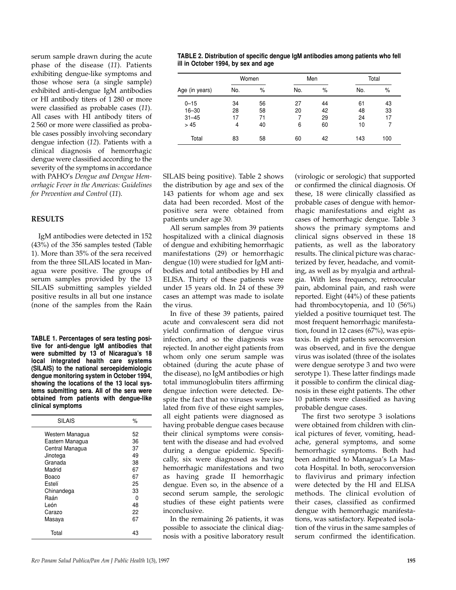serum sample drawn during the acute phase of the disease (*11*). Patients exhibiting dengue-like symptoms and those whose sera (a single sample) exhibited anti-dengue IgM antibodies or HI antibody titers of 1 280 or more were classified as probable cases (*11*). All cases with HI antibody titers of 2 560 or more were classified as probable cases possibly involving secondary dengue infection (*12*). Patients with a clinical diagnosis of hemorrhagic dengue were classified according to the severity of the symptoms in accordance with PAHO's *Dengue and Dengue Hemorrhagic Fever in the Americas: Guidelines for Prevention and Control* (*11*).

## **RESULTS**

IgM antibodies were detected in 152 (43%) of the 356 samples tested (Table 1). More than 35% of the sera received from the three SILAIS located in Managua were positive. The groups of serum samples provided by the 13 SILAIS submitting samples yielded positive results in all but one instance (none of the samples from the Raán

**TABLE 1. Percentages of sera testing positive for anti-dengue IgM antibodies that were submitted by 13 of Nicaragua's 18 local integrated health care systems (SILAIS) to the national seroepidemiologic dengue monitoring system in October 1994, showing the locations of the 13 local systems submitting sera. All of the sera were obtained from patients with dengue-like clinical symptoms**

| <b>SILAIS</b>   | $\%$ |
|-----------------|------|
| Western Managua | 52   |
| Eastern Managua | 36   |
| Central Managua | 37   |
| Jinotega        | 49   |
| Granada         | 38   |
| Madrid          | 67   |
| Boaco           | 67   |
| Estelí          | 25   |
| Chinandega      | 33   |
| Raán            | 0    |
| León            | 48   |
| Carazo          | 22   |
| Masaya          | 67   |
| Total           | 43   |

**TABLE 2. Distribution of specific dengue IgM antibodies among patients who fell ill in October 1994, by sex and age**

| Age (in years) | Women |      |     | Men | Total |     |  |
|----------------|-------|------|-----|-----|-------|-----|--|
|                | No.   | $\%$ | No. | %   | No.   | %   |  |
| $0 - 15$       | 34    | 56   | 27  | 44  | 61    | 43  |  |
| $16 - 30$      | 28    | 58   | 20  | 42  | 48    | 33  |  |
| $31 - 45$      | 17    | 71   |     | 29  | 24    | 17  |  |
| > 45           | 4     | 40   | 6   | 60  | 10    |     |  |
| Total          | 83    | 58   | 60  | 42  | 143   | 100 |  |

SILAIS being positive). Table 2 shows the distribution by age and sex of the 143 patients for whom age and sex data had been recorded. Most of the positive sera were obtained from patients under age 30.

All serum samples from 39 patients hospitalized with a clinical diagnosis of dengue and exhibiting hemorrhagic manifestations (29) or hemorrhagic dengue (10) were studied for IgM antibodies and total antibodies by HI and ELISA. Thirty of these patients were under 15 years old. In 24 of these 39 cases an attempt was made to isolate the virus.

In five of these 39 patients, paired acute and convalescent sera did not yield confirmation of dengue virus infection, and so the diagnosis was rejected. In another eight patients from whom only one serum sample was obtained (during the acute phase of the disease), no IgM antibodies or high total immunoglobulin titers affirming dengue infection were detected. Despite the fact that no viruses were isolated from five of these eight samples, all eight patients were diagnosed as having probable dengue cases because their clinical symptoms were consistent with the disease and had evolved during a dengue epidemic. Specifically, six were diagnosed as having hemorrhagic manifestations and two as having grade II hemorrhagic dengue. Even so, in the absence of a second serum sample, the serologic studies of these eight patients were inconclusive.

In the remaining 26 patients, it was possible to associate the clinical diagnosis with a positive laboratory result

(virologic or serologic) that supported or confirmed the clinical diagnosis. Of these, 18 were clinically classified as probable cases of dengue with hemorrhagic manifestations and eight as cases of hemorrhagic dengue. Table 3 shows the primary symptoms and clinical signs observed in these 18 patients, as well as the laboratory results. The clinical picture was characterized by fever, headache, and vomiting, as well as by myalgia and arthralgia. With less frequency, retroocular pain, abdominal pain, and rash were reported. Eight (44%) of these patients had thrombocytopenia, and 10 (56%) yielded a positive tourniquet test. The most frequent hemorrhagic manifestation, found in 12 cases (67%), was epistaxis. In eight patients seroconversion was observed, and in five the dengue virus was isolated (three of the isolates were dengue serotype 3 and two were serotype 1). These latter findings made it possible to confirm the clinical diagnosis in these eight patients. The other 10 patients were classified as having probable dengue cases.

The first two serotype 3 isolations were obtained from children with clinical pictures of fever, vomiting, headache, general symptoms, and some hemorrhagic symptoms. Both had been admitted to Managua's La Mascota Hospital. In both, seroconversion to flavivirus and primary infection were detected by the HI and ELISA methods. The clinical evolution of their cases, classified as confirmed dengue with hemorrhagic manifestations, was satisfactory. Repeated isolation of the virus in the same samples of serum confirmed the identification.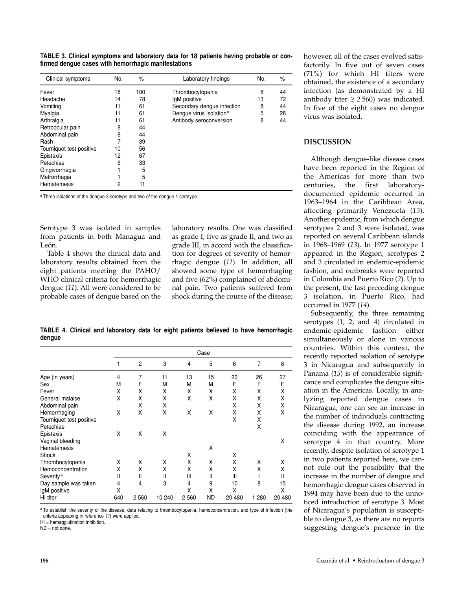|  | TABLE 3. Clinical symptoms and laboratory data for 18 patients having probable or con- |  |  |  |  |
|--|----------------------------------------------------------------------------------------|--|--|--|--|
|  | firmed dengue cases with hemorrhagic manifestations                                    |  |  |  |  |

| Clinical symptoms        | No. | $\%$ | Laboratory findings                 | No. | %  |
|--------------------------|-----|------|-------------------------------------|-----|----|
| Fever                    | 18  | 100  | Thrombocytopenia                    | 8   | 44 |
| Headache                 | 14  | 78   | IgM positive                        | 13  | 72 |
| Vomiting                 | 11  | 61   | Secondary dengue infection          | 8   | 44 |
| Myalgia                  | 11  | 61   | Dengue virus isolation <sup>a</sup> | 5   | 28 |
| Arthralgia               | 11  | 61   | Antibody seroconversion             | 8   | 44 |
| Retroocular pain         | 8   | 44   |                                     |     |    |
| Abdominal pain           | 8   | 44   |                                     |     |    |
| Rash                     |     | 39   |                                     |     |    |
| Tourniquet test positive | 10  | 56   |                                     |     |    |
| Epistaxis                | 12  | 67   |                                     |     |    |
| Petechiae                | 6   | 33   |                                     |     |    |
| Gingivorrhagia           |     | 5    |                                     |     |    |
| Metrorrhagia             |     | 5    |                                     |     |    |
| <b>Hematemesis</b>       | 2   | 11   |                                     |     |    |

a Three isolations of the dengue 3 serotype and two of the dengue 1 serotype.

Serotype 3 was isolated in samples from patients in both Managua and León.

Table 4 shows the clinical data and laboratory results obtained from the eight patients meeting the PAHO/ WHO clinical criteria for hemorrhagic dengue (*11*). All were considered to be probable cases of dengue based on the

laboratory results. One was classified as grade I, five as grade II, and two as grade III, in accord with the classification for degrees of severity of hemorrhagic dengue (*11*). In addition, all showed some type of hemorrhaging and five (62%) complained of abdominal pain. Two patients suffered from shock during the course of the disease;

**TABLE 4. Clinical and laboratory data for eight patients believed to have hemorrhagic dengue**

|                          | Case |                |        |         |           |        |       |        |
|--------------------------|------|----------------|--------|---------|-----------|--------|-------|--------|
|                          | 1    | $\overline{c}$ | 3      | 4       | 5         | 6      | 7     | 8      |
| Age (in years)           | 4    | 7              | 11     | 13      | 15        | 20     | 26    | 27     |
| Sex                      | м    | F              | м      | м       | м         | F      | F     | F      |
| Fever                    | Χ    | Χ              | X      | Χ       | X         | Χ      | Χ     | Χ      |
| General malaise          | X    | X              | х      | Χ       | Χ         | Χ      | X     | X      |
| Abdominal pain           |      | X              | x      |         |           | Χ      | x     | X      |
| Hemorrhaging             | X    | X              | X      | Χ       | X         | Χ      | Χ     | Χ      |
| Tourniquet test positive |      |                |        |         |           | Χ      | х     |        |
| Petechiae                |      |                |        |         |           |        | X     |        |
| Epistaxis                | X    | X              | X      |         |           |        |       |        |
| Vaginal bleeding         |      |                |        |         |           |        |       | X      |
| Hematemesis              |      |                |        |         | X         |        |       |        |
| Shock                    |      |                |        | Χ       |           | Χ      |       |        |
| Thrombocytopenia         | x    | X              | x      | Χ       | X         | X      | X     | X      |
| Hemoconcentration        | x    | X              | x      | Χ       | X         | x      | X     | X      |
| Severity <sup>a</sup>    | Ш    | Ш              | Ш      | Ш       | Ш         | Ш      |       | II     |
| Day sample was taken     | 4    | 4              | 3      | 4       | 9         | 10     | 8     | 15     |
| IgM positive             | Х    |                |        | Χ       | Χ         | Χ      |       | X      |
| HI titer                 | 640  | 2 5 6 0        | 10 240 | 2 5 6 0 | <b>ND</b> | 20 480 | 1 280 | 20 480 |
|                          |      |                |        |         |           |        |       |        |

a To establish the severity of the disease, data relating to thrombocytopenia, hemoconcentration, and type of infection (the criteria appearing in reference *11*) were applied.

 $H = h$ emagglutination inhibition.

 $ND = not done$ 

however, all of the cases evolved satisfactorily. In five out of seven cases (71%) for which HI titers were obtained, the existence of a secondary infection (as demonstrated by a HI antibody titer  $\geq 2560$ ) was indicated. In five of the eight cases no dengue virus was isolated.

## **DISCUSSION**

Although dengue-like disease cases have been reported in the Region of the Americas for more than two centuries, the first laboratorydocumented epidemic occurred in 1963–1964 in the Caribbean Area, affecting primarily Venezuela (*13*). Another epidemic, from which dengue serotypes 2 and 3 were isolated, was reported on several Caribbean islands in 1968–1969 (*13*). In 1977 serotype 1 appeared in the Region, serotypes 2 and 3 circulated in endemic-epidemic fashion, and outbreaks were reported in Colombia and Puerto Rico (*2*). Up to the present, the last preceding dengue 3 isolation, in Puerto Rico, had occurred in 1977 (*14*).

Subsequently, the three remaining serotypes (1, 2, and 4) circulated in endemic-epidemic fashion either simultaneously or alone in various countries. Within this context, the recently reported isolation of serotype 3 in Nicaragua and subsequently in Panama (*15*) is of considerable significance and complicates the dengue situation in the Americas. Locally, in analyzing reported dengue cases in Nicaragua, one can see an increase in the number of individuals contracting the disease during 1992, an increase coinciding with the appearance of serotype 4 in that country. More recently, despite isolation of serotype 1 in two patients reported here, we cannot rule out the possibility that the increase in the number of dengue and hemorrhagic dengue cases observed in 1994 may have been due to the unnoticed introduction of serotype 3. Most of Nicaragua's population is susceptible to dengue 3, as there are no reports suggesting dengue's presence in the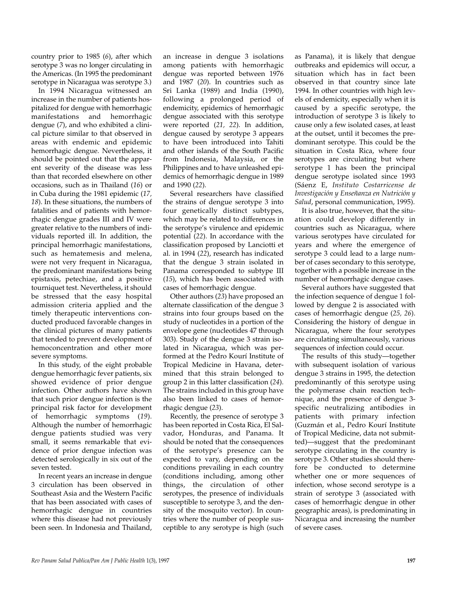country prior to 1985 (*6*), after which serotype 3 was no longer circulating in the Americas. (In 1995 the predominant serotype in Nicaragua was serotype 3.)

In 1994 Nicaragua witnessed an increase in the number of patients hospitalized for dengue with hemorrhagic manifestations and hemorrhagic dengue (*7*), and who exhibited a clinical picture similar to that observed in areas with endemic and epidemic hemorrhagic dengue. Nevertheless, it should be pointed out that the apparent severity of the disease was less than that recorded elsewhere on other occasions, such as in Thailand (*16*) or in Cuba during the 1981 epidemic (*17, 18*). In these situations, the numbers of fatalities and of patients with hemorrhagic dengue grades III and IV were greater relative to the numbers of individuals reported ill. In addition, the principal hemorrhagic manifestations, such as hematemesis and melena, were not very frequent in Nicaragua, the predominant manifestations being epistaxis, petechiae, and a positive tourniquet test. Nevertheless, it should be stressed that the easy hospital admission criteria applied and the timely therapeutic interventions conducted produced favorable changes in the clinical pictures of many patients that tended to prevent development of hemoconcentration and other more severe symptoms.

In this study, of the eight probable dengue hemorrhagic fever patients, six showed evidence of prior dengue infection. Other authors have shown that such prior dengue infection is the principal risk factor for development of hemorrhagic symptoms (*19*). Although the number of hemorrhagic dengue patients studied was very small, it seems remarkable that evidence of prior dengue infection was detected serologically in six out of the seven tested.

In recent years an increase in dengue 3 circulation has been observed in Southeast Asia and the Western Pacific that has been associated with cases of hemorrhagic dengue in countries where this disease had not previously been seen. In Indonesia and Thailand,

an increase in dengue 3 isolations among patients with hemorrhagic dengue was reported between 1976 and 1987 (*20*). In countries such as Sri Lanka (1989) and India (1990), following a prolonged period of endemicity, epidemics of hemorrhagic dengue associated with this serotype were reported (*21, 22*). In addition, dengue caused by serotype 3 appears to have been introduced into Tahiti and other islands of the South Pacific from Indonesia, Malaysia, or the Philippines and to have unleashed epidemics of hemorrhagic dengue in 1989 and 1990 (*22*).

Several researchers have classified the strains of dengue serotype 3 into four genetically distinct subtypes, which may be related to differences in the serotype's virulence and epidemic potential (*22*). In accordance with the classification proposed by Lanciotti et al. in 1994 (*22*), research has indicated that the dengue 3 strain isolated in Panama corresponded to subtype III (*15*), which has been associated with cases of hemorrhagic dengue.

Other authors (*23*) have proposed an alternate classification of the dengue 3 strains into four groups based on the study of nucleotides in a portion of the envelope gene (nucleotides 47 through 303). Study of the dengue 3 strain isolated in Nicaragua, which was performed at the Pedro Kourí Institute of Tropical Medicine in Havana, determined that this strain belonged to group 2 in this latter classification (*24*). The strains included in this group have also been linked to cases of hemorrhagic dengue (*23*).

Recently, the presence of serotype 3 has been reported in Costa Rica, El Salvador, Honduras, and Panama. It should be noted that the consequences of the serotype's presence can be expected to vary, depending on the conditions prevailing in each country (conditions including, among other things, the circulation of other serotypes, the presence of individuals susceptible to serotype 3, and the density of the mosquito vector). In countries where the number of people susceptible to any serotype is high (such

as Panama), it is likely that dengue outbreaks and epidemics will occur, a situation which has in fact been observed in that country since late 1994. In other countries with high levels of endemicity, especially when it is caused by a specific serotype, the introduction of serotype 3 is likely to cause only a few isolated cases, at least at the outset, until it becomes the predominant serotype. This could be the situation in Costa Rica, where four serotypes are circulating but where serotype 1 has been the principal dengue serotype isolated since 1993 (Sáenz E, *Instituto Costarricense de Investigación y Enseñanza en Nutrición y Salud*, personal communication, 1995).

It is also true, however, that the situation could develop differently in countries such as Nicaragua, where various serotypes have circulated for years and where the emergence of serotype 3 could lead to a large number of cases secondary to this serotype, together with a possible increase in the number of hemorrhagic dengue cases.

Several authors have suggested that the infection sequence of dengue 1 followed by dengue 2 is associated with cases of hemorrhagic dengue (*25, 26*). Considering the history of dengue in Nicaragua, where the four serotypes are circulating simultaneously, various sequences of infection could occur.

The results of this study—together with subsequent isolation of various dengue 3 strains in 1995, the detection predominantly of this serotype using the polymerase chain reaction technique, and the presence of dengue 3 specific neutralizing antibodies in patients with primary infection (Guzmán et al., Pedro Kourí Institute of Tropical Medicine, data not submitted)—suggest that the predominant serotype circulating in the country is serotype 3. Other studies should therefore be conducted to determine whether one or more sequences of infection, whose second serotype is a strain of serotype 3 (associated with cases of hemorrhagic dengue in other geographic areas), is predominating in Nicaragua and increasing the number of severe cases.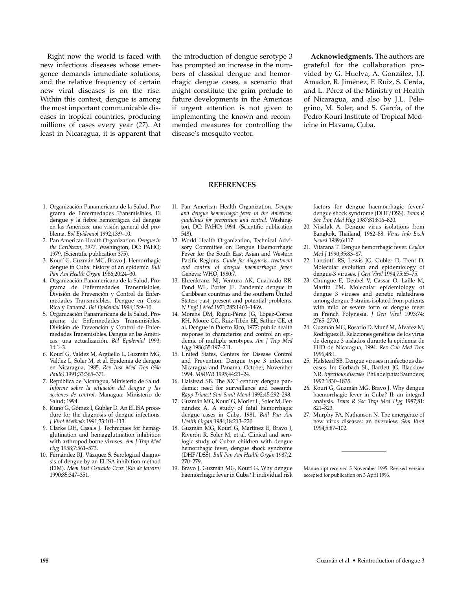Right now the world is faced with new infectious diseases whose emergence demands immediate solutions, and the relative frequency of certain new viral diseases is on the rise. Within this context, dengue is among the most important communicable diseases in tropical countries, producing millions of cases every year (*27*). At least in Nicaragua, it is apparent that

the introduction of dengue serotype 3 has prompted an increase in the numbers of classical dengue and hemorrhagic dengue cases, a scenario that might constitute the grim prelude to future developments in the Americas if urgent attention is not given to implementing the known and recommended measures for controlling the disease's mosquito vector.

**Acknowledgments.** The authors are grateful for the collaboration provided by G. Huelva, A. González, J.J. Amador, R. Jiménez, F. Ruiz, S. Cerda, and L. Pérez of the Ministry of Health of Nicaragua, and also by J.L. Pelegrino, M. Soler, and S. García, of the Pedro Kourí Institute of Tropical Medicine in Havana, Cuba.

#### **REFERENCES**

- 1. Organización Panamericana de la Salud, Programa de Enfermedades Transmisibles. El dengue y la fiebre hemorrágica del dengue en las Américas: una visión general del problema. *Bol Epidemiol* 1992;13:9–10.
- 2. Pan American Health Organization. *Dengue in the Caribbean, 1977.* Washington, DC: PAHO; 1979. (Scientific publication 375).
- 3. Kourí G, Guzmán MG, Bravo J. Hemorrhagic dengue in Cuba: history of an epidemic. *Bull Pan Am Health Organ* 1986;20:24–30.
- 4. Organización Panamericana de la Salud, Programa de Enfermedades Transmisibles, División de Prevención y Control de Enfermedades Transmisibles. Dengue en Costa Rica y Panamá. *Bol Epidemiol* 1994;15:9–10.
- 5. Organización Panamericana de la Salud, Programa de Enfermedades Transmisibles, División de Prevención y Control de Enfermedades Transmisibles. Dengue en las Américas: una actualización. *Bol Epidemiol* 1993; 14:1–3.
- 6. Kourí G, Valdez M, Argüello L, Guzmán MG, Valdez L, Soler M, et al. Epidemia de dengue en Nicaragua, 1985. *Rev Inst Med Trop (São Paulo)* 1991;33:365–371.
- 7. República de Nicaragua, Ministerio de Salud. *Informe sobre la situación del dengue y las acciones de control.* Managua: Ministerio de Salud; 1994.
- 8. Kuno G, Gómez I, Gubler D. An ELISA procedure for the diagnosis of dengue infections. *J Virol Methods* 1991;33:101–113.
- 9. Clarke DH, Casals J. Techniques for hemagglutination and hemagglutination inhibition with arthropod borne viruses. *Am J Trop Med Hyg* 1958;7:561–573.
- 10. Fernández RJ, Vázquez S. Serological diagnosis of dengue by an ELISA inhibition method (EIM). *Mem Inst Oswaldo Cruz (Rio de Janeiro)* 1990;85:347–351.
- 11. Pan American Health Organization. *Dengue and dengue hemorrhagic fever in the Americas: guidelines for prevention and control.* Washington, DC: PAHO; 1994. (Scientific publication 548).
- 12. World Health Organization, Technical Advisory Committee on Dengue Haemorrhagic Fever for the South East Asian and Western Pacific Regions. *Guide for diagnosis, treatment and control of dengue haemorrhagic fever.* Geneva: WHO; 1980:7.
- 13. Ehrenkranz NJ, Ventura AK, Cuadrado RR, Pond WL, Porter JE. Pandemic dengue in Caribbean countries and the southern United States: past, present and potential problems. *N Engl J Med* 1971;285:1460–1469.
- 14. Morens DM, Rigau-Pérez JG, López-Correa RH, Moore CG, Ruiz-Tibén EE, Sather GE, et al. Dengue in Puerto Rico, 1977: public health response to characterize and control an epidemic of multiple serotypes. *Am J Trop Med Hyg* 1986;35:197–211.
- 15. United States, Centers for Disease Control and Prevention. Dengue type 3 infection: Nicaragua and Panama; October, November 1994. *MMWR* 1995;44:21–24.
- 16. Halstead SB. The  $XX<sup>th</sup>$  century dengue pandemic: need for surveillance and research. *Rapp Trimest Stat Sanit Mond* 1992;45:292–298.
- 17. Guzmán MG, Kourí G, Morier L, Soler M, Fernández A. A study of fatal hemorrhagic dengue cases in Cuba, 1981. *Bull Pan Am Health Organ* 1984;18:213–220.
- 18. Guzmán MG, Kourí G, Martínez E, Bravo J, Riverón R, Soler M, et al. Clinical and serologic study of Cuban children with dengue hemorrhagic fever, dengue shock syndrome (DHF/DSS). *Bull Pan Am Health Organ* 1987;2: 270–279.
- 19. Bravo J, Guzmán MG, Kourí G. Why dengue haemorrhagic fever in Cuba? I: individual risk

factors for dengue haemorrhagic fever/ dengue shock syndrome (DHF/DSS). *Trans R Soc Trop Med Hyg* 1987;81:816–820.

- 20. Nisalak A. Dengue virus isolations from Bangkok, Thailand, 1962–88. *Virus Info Exch Newsl* 1989;6:117.
- 21. Vitarana T. Dengue hemorrhagic fever. *Ceylon Med J* 1990;35:83–87.
- 22. Lanciotti RS, Lewis JG, Gubler D, Trent D. Molecular evolution and epidemiology of dengue-3 viruses. *J Gen Virol* 1994;75:65–75.
- 23. Chungue E, Deubel V, Cassar O, Laille M, Martin PM. Molecular epidemiology of dengue 3 viruses and genetic relatedness among dengue 3 strains isolated from patients with mild or severe form of dengue fever in French Polynesia. *J Gen Virol* 1993;74: 2765–2770.
- 24. Guzmán MG, Rosario D, Muné M, Álvarez M, Rodríguez R. Relaciones genéticas de los virus de dengue 3 aislados durante la epidemia de FHD de Nicaragua, 1994. *Rev Cub Med Trop* 1996;48:1.
- 25. Halstead SB. Dengue viruses in infectious diseases. In: Gorbach SL, Bartlett JG, Blacklow NR. *Infectious diseases.* Philadelphia: Saunders; 1992:1830–1835.
- 26. Kourí G, Guzmán MG, Bravo J. Why dengue haemorrhagic fever in Cuba? II: an integral analysis. *Trans R Soc Trop Med Hyg* 1987;81: 821–823.
- 27. Murphy FA, Nathanson N. The emergence of new virus diseases: an overview. *Sem Virol* 1994;5:87–102.

Manuscript received 5 November 1995. Revised version accepted for publication on 3 April 1996.